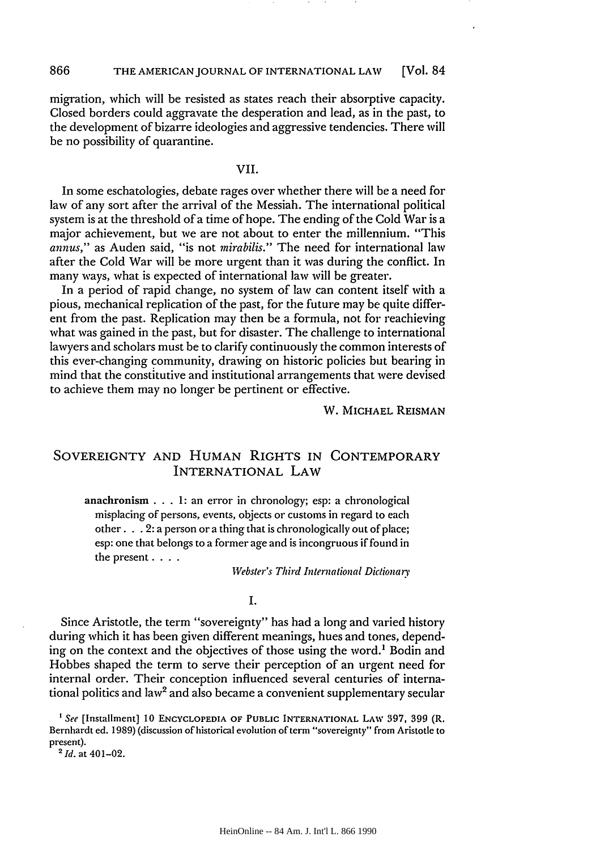migration, which will be resisted as states reach their absorptive capacity. Closed borders could aggravate the desperation and lead, as in the past, to the development of bizarre ideologies and aggressive tendencies. There will be no possibility of quarantine.

### VII.

In some eschatologies, debate rages over whether there will be a need for law of any sort after the arrival of the Messiah. The international political system is at the threshold of a time of hope. The ending of the Cold War is a major achievement, but we are not about to enter the millennium. "This *annus,"* as Auden said, "is not *mirabilis."* The need for international law after the Cold War will be more urgent than it was during the conflict. In many ways, what is expected of international law will be greater.

In a period of rapid change, no system of law can content itself with a pious, mechanical replication of the past, for the future may be quite different from the past. Replication may then be a formula, not for reachieving what was gained in the past, but for disaster. The challenge to international lawyers and scholars must be to clarify continuously the common interests of this ever-changing community, drawing on historic policies but bearing in mind that the constitutive and institutional arrangements that were devised to achieve them may no longer be pertinent or effective.

W. MICHAEL **REISMAN**

# SOVEREIGNTY AND HUMAN RIGHTS IN CONTEMPORARY INTERNATIONAL LAW

anachronism . . . 1: an error in chronology; esp: a chronological misplacing of persons, events, objects or customs in regard to each other. **.** . 2: a person or a thing that is chronologically out of place; esp: one that belongs to a former age and is incongruous if found in the present **....**

Webster's *Third International Diclionary*

# I.

Since Aristotle, the term "sovereignty" has had a long and varied history during which it has been given different meanings, hues and tones, depending on the context and the objectives of those using the word.' Bodin and Hobbes shaped the term to serve their perception of an urgent need for internal order. Their conception influenced several centuries of international politics and law2 and also became a convenient supplementary secular

*'See* [Installment] **10** ENCYCLOPEDIA OF **PUBLIC INTERNATIONAL LAw 397, 399** (R. Bernhardt ed. 1989) (discussion of historical evolution of term "sovereignty" from Aristotle to present).

2 *Id.* at 401-02.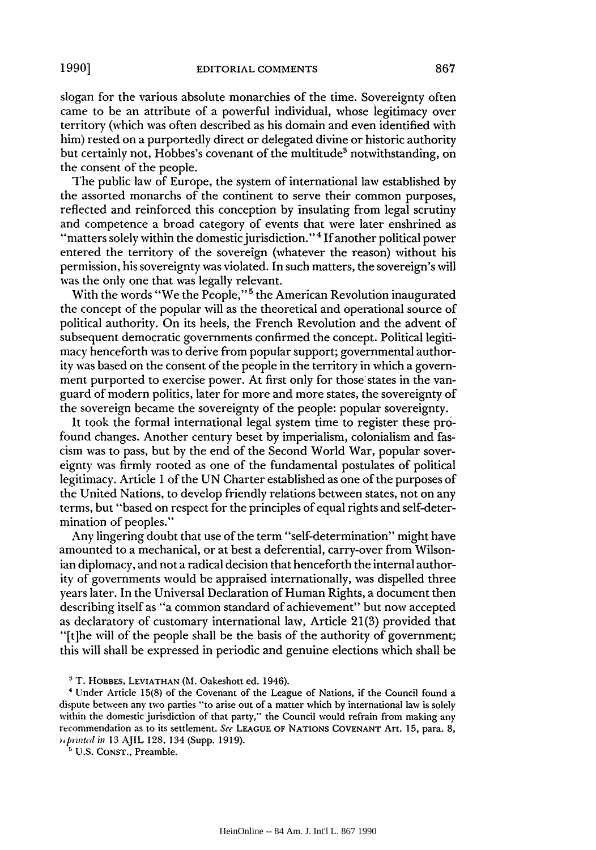slogan for the various absolute monarchies of the time. Sovereignty often came to be an attribute of a powerful individual, whose legitimacy over territory (which was often described as his domain and even identified with him) rested on a purportedly direct or delegated divine or historic authority but certainly not, Hobbes's covenant of the multitude<sup>3</sup> notwithstanding, on the consent of the people.

The public law of Europe, the system of international law established by the assorted monarchs of the continent to serve their common purposes, reflected and reinforced this conception by insulating from legal scrutiny and competence a broad category of events that were later enshrined as "matters solely within the domestic jurisdiction."<sup>4</sup> If another political power entered the territory of the sovereign (whatever the reason) without his permission, his sovereignty was violated. In such matters, the sovereign's will was the only one that was legally relevant.

With the words "We the People,"<sup>5</sup> the American Revolution inaugurated the concept of the popular will as the theoretical and operational source of political authority. On its heels, the French Revolution and the advent of subsequent democratic governments confirmed the concept. Political legitimacy henceforth was to derive from popular support; governmental authority was based on the consent of the people in the territory in which a government purported to exercise power. At first only for those states in the vanguard of modern politics, later for more and more states, the sovereignty of the sovereign became the sovereignty of the people: popular sovereignty.

It took the formal international legal system time to register these profound changes. Another century beset by imperialism, colonialism and fascism was to pass, but by the end of the Second World War, popular sovereignty was firmly rooted as one of the fundamental postulates of political legitimacy. Article 1 of the UN Charter established as one of the purposes of the United Nations, to develop friendly relations between states, not on any terms, but "based on respect for the principles of equal rights and self-determination of peoples."

Any lingering doubt that use of the term "self-determination" might have amounted to a mechanical, or at best a deferential, carry-over from Wilsonian diplomacy, and not a radical decision that henceforth the internal authority of governments would be appraised internationally, was dispelled three years later. In the Universal Declaration of Human Rights, a document then describing itself as "a common standard of achievement" but now accepted as declaratory of customary international law, Article 21(3) provided that "[tihe will of the people shall be the basis of the authority of government; this will shall be expressed in periodic and genuine elections which shall be

**<sup>5</sup> T.** HOBBES, LEVIATHAN (M. Oakeshott ed. 1946).

**'** Under Article **15(8)** of the Covenant of the League of Nations, if the Council found a dispute between any two parties "to arise out of a matter which **by** international law is solely within the domestic jurisdiction of that party," the Council would refrain from making any rccommendation as to its settlement. *See* **LEAGUE OF** NATIONS **COVENANT** Art. **15,** para. **8,** *htprmtad in* 13 AJIL 128, 134 (Supp. 1919).

*'* U.S. CONST., Preamble.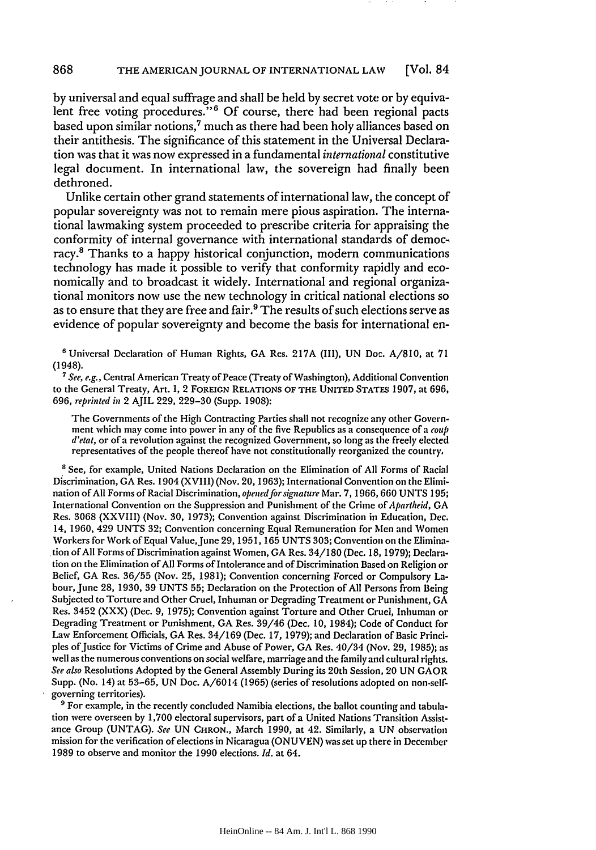by universal and equal suffrage and shall be held by secret vote or by equivalent free voting procedures."<sup>6</sup> Of course, there had been regional pacts based upon similar notions,7 much as there had been holy alliances based on their antithesis. The significance of this statement in the Universal Declaration was that it was now expressed in a fundamental *international* constitutive legal document. In international law, the sovereign had finally been dethroned.

Unlike certain other grand statements of international law, the concept of popular sovereignty was not to remain mere pious aspiration. The international lawmaking system proceeded to prescribe criteria for appraising the conformity of internal governance with international standards of democracy.8 Thanks to a happy historical conjunction, modern communications technology has made it possible to verify that conformity rapidly and economically and to broadcast it widely. International and regional organizational monitors now use the new technology in critical national elections so as to ensure that they are free and fair.<sup>9</sup> The results of such elections serve as evidence of popular sovereignty and become the basis for international en-

**'** Universal Declaration of Human Rights, GA Res. 217A (III), UN Doc. **A/810,** at **71** (1948).

*7 See, e.g.,* Central American Treaty of Peace (Treaty of Washington), Additional Convention to the General Treaty, Art. I, 2 **FOREIGN RELATIONS OF** THE **UNITED** STATES 1907, at 696, 696, *reprinted in* 2 AJIL 229, 229-30 (Supp. 1908):

The Governments of the High Contracting Parties shall not recognize any other Government which may come into power in any of the five Republics as a consequence of a *coup d'etat,* or of a revolution against the recognized Government, so long as the freely elected representatives of the people thereof have not constitutionally reorganized the country,

8 See, for example, United Nations Declaration on the Elimination of **All** Forms of Racial Discrimination, GA Res. 1904 (XVIII) (Nov. 20, 1963); International Convention on the Elimination of All Forms of Racial Discrimination, *opened for signature* Mar. 7, 1966, **660** UNTS 195; International Convention on the Suppression and Punishment of the Crime *of Apartheid,* GA Res. 3068 (XXVIII) (Nov. **30,** 1973); Convention against Discrimination in Education, Dec. 14, 1960, 429 UNTS 32; Convention concerning Equal Remuneration for Men and Women Workers for Work of Equal Value, June 29, 1951, 165 UNTS 303; Convention on the Elimination of **All** Forms of Discrimination against Women, GA Res. 34/180 (Dec. 18, 1979); Declaration on the Elimination of **All** Forms of Intolerance and of Discrimination Based on Religion or Belief, **GA** Res. 36/55 (Nov. 25, 1981); Convention concerning Forced or Compulsory Labour, June 28, 1930, 39 UNTS 55; Declaration on the Protection of **All** Persons from Being Subjected to Torture and Other Cruel, Inhuman or Degrading Treatment or Punishment, GA Res. 3452 (XXX) (Dec. 9, 1975); Convention against Torture and Other Cruel, Inhuman or Degrading Treatment or Punishment, **GA** Res. 39/46 (Dec. **10,** 1984); Code of Conduct for Law Enforcement Officials, GA Res. 34/169 (Dec. 17, 1979); and Declaration of Basic Principles ofJustice for Victims of Crime and Abuse of Power, GA Res. 40/34 (Nov. 29, 1985); as well as the numerous conventions on social welfare, marriage and the family and cultural rights. *See also* Resolutions Adopted by the General Assembly During its 20th Session, 20 UN GAOR Supp. (No. 14) at 53-65, UN Doc. A/6014 (1965) (series of resolutions adopted on non-selfgoverning territories).

**'** For example, in the recently concluded Namibia elections, the ballot counting and tabulation were overseen by **1,700** electoral supervisors, part of a United Nations Transition Assistance Group (UNTAG). *See* **UN CHRON.,** March **1990,** at 42. Similarly, a UN observation mission for the verification of elections in Nicaragua (ONUVEN) was set up there in December 1989 to observe and monitor the 1990 elections. *Id.* at 64.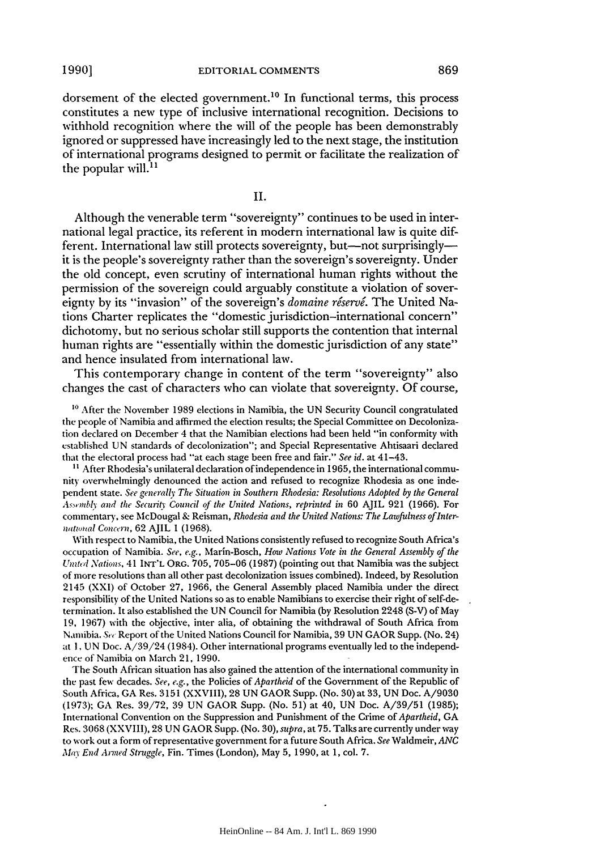dorsement of the elected government.<sup>10</sup> In functional terms, this process constitutes a new type of inclusive international recognition. Decisions to withhold recognition where the will of the people has been demonstrably ignored or suppressed have increasingly led to the next stage, the institution of international programs designed to permit or facilitate the realization of the popular will.<sup>11</sup>

H.

Although the venerable term "sovereignty" continues to be used in international legal practice, its referent in modern international law is quite different. International law still protects sovereignty, but-not surprisinglyit is the people's sovereignty rather than the sovereign's sovereignty. Under the old concept, even scrutiny of international human rights without the permission of the sovereign could arguably constitute a violation of sovereignty by its "invasion" of the sovereign's *domaine réservé*. The United Nations Charter replicates the "domestic jurisdiction-international concern" dichotomy, but no serious scholar still supports the contention that internal human rights are "essentially within the domestic jurisdiction of any state" and hence insulated from international law.

This contemporary change in content of the term "sovereignty" also changes the cast of characters who can violate that sovereignty. **Of** course,

*'0* After the November **1989** elections in Namibia, the **UN** Security Council congratulated the people of Namibia and affirmed the election results; the Special Committee on Decolonization declared **on** December 4 that the Namibian elections had been held "in conformity with established **UN** standards of decolonization"; and Special Representative Ahtisaari declared that the electoral process had "at each stage been free and fair." *See id.* at 41-43.

**"** After Rhodesia's unilateral declaration of independence in **1965,** the international community overwhelmingly denounced the action and refused to recognize Rhodesia as one independent state. *See generally The Situation in Southern Rhodesia: Resolutions Adopted by the General* Assembly and the Security Council of the United Nations, reprinted in 60 AJIL 921 (1966). For commentary, see McDougal & Reisman, *Rhodesia and the United Nations: The Lawfulness of Internatlmal Concern,* **62 AJIL 1 (1968).**

With respect to Namibia, the United Nations consistently refused to recognize South Africa's occupation of Namibia. *See, e.g.,* Marn-Bosch, *How Nations Vote in the General Assembly of the Umted Nations,* 41 **INT'L** ORG. **705, 705-06 (1987)** (pointing out that Namibia was the subject of more resolutions than all other past decolonization issues combined). Indeed, **by** Resolution 2145 (XXI) of October **27, 1966,** the General Assembly placed Namibia under the direct responsibility of the United Nations so as to enable Namibians to exercise their right of self-determination. It also established the **UN** Council for Namibia **(by** Resolution 2248 **(S-V)** of May **19, 1967)** with the objective, inter alia, of obtaining the withdrawal of South Africa from Namibia. **Se** Report of the United Nations Council for Namibia, **39 UN** GAOR Supp. (No. 24) at 1, UN Doc. A/39/24 (1984). Other international programs eventually led to the independence of Namibia on March 21, **1990.**

The South African situation has also gained the attention of the international community in the past few decades. *See, e.g.,* the Policies of *Apartheid* of the Government of the Republic of South Africa, **GA** Res. **3151 (XXVIII), 28 UN** GAOR Supp. (No. **30)** at **33, UN** Doc. **A/9030 (1973); GA** Res. **39/72, 39 UN** GAOR Supp. (No. **51)** at 40, **UN** Doc. **A/39/51 (1985);** International Convention on the Suppression and Punishment of the Crime of *Apartheid,* **GA** Res. **3068** (XXVIII), **28 UN** GAOR Supp. (No. **30),** *supra,* at **75.** Talks are currently under way to work out a form of representative government for a future South Africa. *See* Waldmeir, *ANC May End Armed Struggle,* Fin. Times (London), May **5, 1990,** at **1,** col. **7.**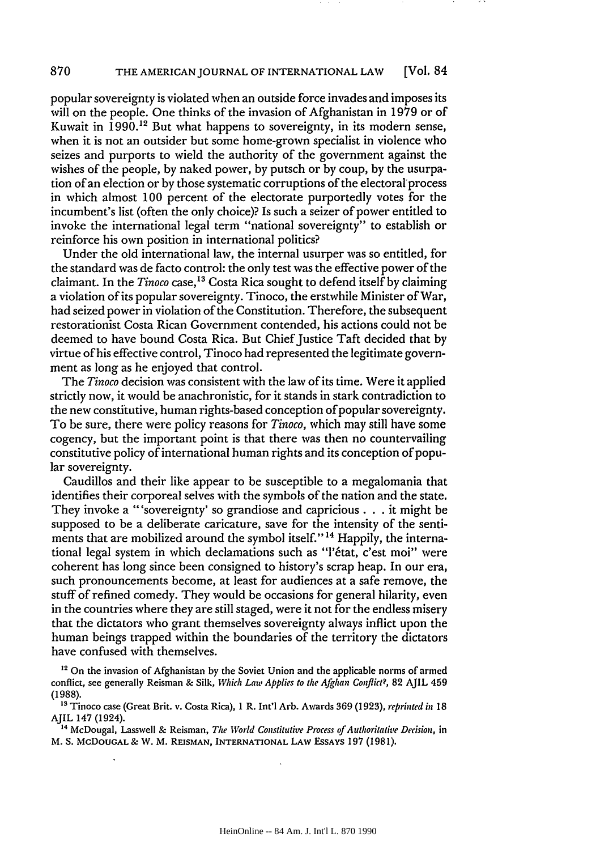popular sovereignty is violated when an outside force invades and imposes its will on the people. One thinks of the invasion of Afghanistan in 1979 or of Kuwait in 1990.<sup>12</sup> But what happens to sovereignty, in its modern sense, when it is not an outsider but some home-grown specialist in violence who seizes and purports to wield the authority of the government against the wishes of the people, by naked power, by putsch or by coup, by the usurpation of an election or by those systematic corruptions of the electoral process in which almost **100** percent of the electorate purportedly votes for the incumbent's list (often the only choice)? Is such a seizer of power entitled to invoke the international legal term "national sovereignty" to establish or reinforce his own position in international politics?

Under the old international law, the internal usurper was so entitled, for the standard was de facto control: the only test was the effective power of the claimant. In the *Tinoco* case,<sup>13</sup> Costa Rica sought to defend itself by claiming a violation of its popular sovereignty. Tinoco, the erstwhile Minister of War, had seized power in violation of the Constitution. Therefore, the subsequent restorationist Costa Rican Government contended, his actions could not be deemed to have bound Costa Rica. But Chief Justice Taft decided that by virtue of his effective control, Tinoco had represented the legitimate government as long as he enjoyed that control.

The *Tinoco* decision was consistent with the law of its time. Were it applied strictly now, it would be anachronistic, for it stands in stark contradiction to the new constitutive, human rights-based conception of popular sovereignty. To be sure, there were policy reasons for *Tinoco,* which may still have some cogency, but the important point is that there was then no countervailing constitutive policy of international human rights and its conception of popular sovereignty.

Caudillos and their like appear to be susceptible to a megalomania that identifies their corporeal selves with the symbols of the nation and the state. They invoke a "'sovereignty' so grandiose and capricious. **. .** it might be supposed to be a deliberate caricature, save for the intensity of the sentiments that are mobilized around the symbol itself." **4** Happily, the international legal system in which declamations such as "l'6tat, c'est moi" were coherent has long since been consigned to history's scrap heap. In our era, such pronouncements become, at least for audiences at a safe remove, the stuff of refined comedy. They would be occasions for general hilarity, even in the countries where they are still staged, were it not for the endless misery that the dictators who grant themselves sovereignty always inflict upon the human beings trapped within the boundaries of the territory the dictators have confused with themselves.

<sup>12</sup> On the invasion of Afghanistan by the Soviet Union and the applicable norms of armed conflict, see generally Reisman & Silk, Which Low *Applies to the Afghan ConflictP,* 82 AJIL 459 (1988).

**"s** Tinoco case (Great Brit. **v.** Costa Rica), **1** R. Int'l Arb. Awards **369 (1923),** *reprinted in* 18 **AJIL** 147 (1924).

**<sup>14</sup>**McDougal, Lasswell & Reisman, *The World Constitutive Process of Authoritative Decision,* in M. **S.** McDOUGAL **&** W. M. REISMAN, **INTERNATIONAL** LAW ESSAYS 197 (1981).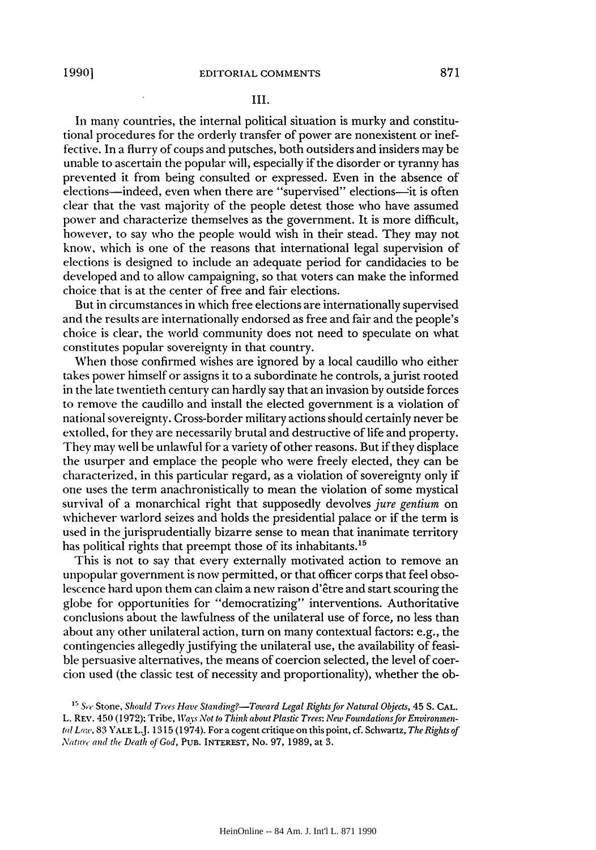### 'II.

In many countries, the internal political situation is murky and constitutional procedures for the orderly transfer of power are nonexistent or ineffective. In a flurry of coups and putsches, both outsiders and insiders may be unable to ascertain the popular will, especially if the disorder or tyranny has prevented it from being consulted or expressed. Even in the absence of elections-indeed, even when there are "supervised" elections-'it is often clear that the vast majority of the people detest those who have assumed power and characterize themselves as the government. It is more difficult, however, to say who the people would wish in their stead. They may not know, which is one of the reasons that international legal supervision of elections is designed to include an adequate period for candidacies to be developed and to allow campaigning, so that voters can make the informed choice that is at the center of free and fair elections.

But in circumstances in which free elections are internationally supervised and the results are internationally endorsed as free and fair and the people's choice is clear, the world community does not need to speculate on what constitutes popular sovereignty in that country.

When those confirmed wishes are ignored by a local caudillo who either takes power himself or assigns it to a subordinate he controls, a jurist rooted in the late twentieth century can hardly say that an invasion by outside forces to remove the caudillo and install the elected government is a violation of national sovereignty. Cross-border military actions should certainly never be extolled, for they are necessarily brutal and destructive of life and property. They may well be unlawful for a variety of other reasons. But if they displace the usurper and emplace the people who were freely elected, they can be characterized, in this particular regard, as a violation of sovereignty only if one uses the term anachronistically to mean the violation of some mystical survival of a monarchical right that supposedly devolves *jure gentium* on whichever warlord seizes and holds the presidential palace or if the term is used in the jurisprudentially bizarre sense to mean that inanimate territory has political rights that preempt those of its inhabitants.<sup>15</sup>

This is not to say that every externally motivated action to remove an unpopular government is now permitted, or that officer corps that feel obsolescence hard upon them can claim a new raison d'être and start scouring the globe for opportunities for "democratizing" interventions. Authoritative conclusions about the lawfulness of the unilateral use of force, no less than about any other unilateral action, turn on many contextual factors: e.g., the contingencies allegedly justifying the unilateral use, the availability of feasible persuasive alternatives, the means of coercion selected, the level of coercion used (the classic test of necessity and proportionality), whether the ob-

<sup>&</sup>lt;sup>15</sup> See Stone, Should Trees Have Standing?-Toward Legal Rights for Natural Objects, 45 S. CAL. L. REV. 450 (1972); Tribe, *Ways Not to Think about Plastic Trees: New Foundations for Environmental Law,* **83** YALE L.J. **1315** (1974). For a cogent critique on this point, cf. Schwartz, *The Rights of Xature and the Death of God,* **PUB.** INTEREST, No. **97, 1989,** at **3.**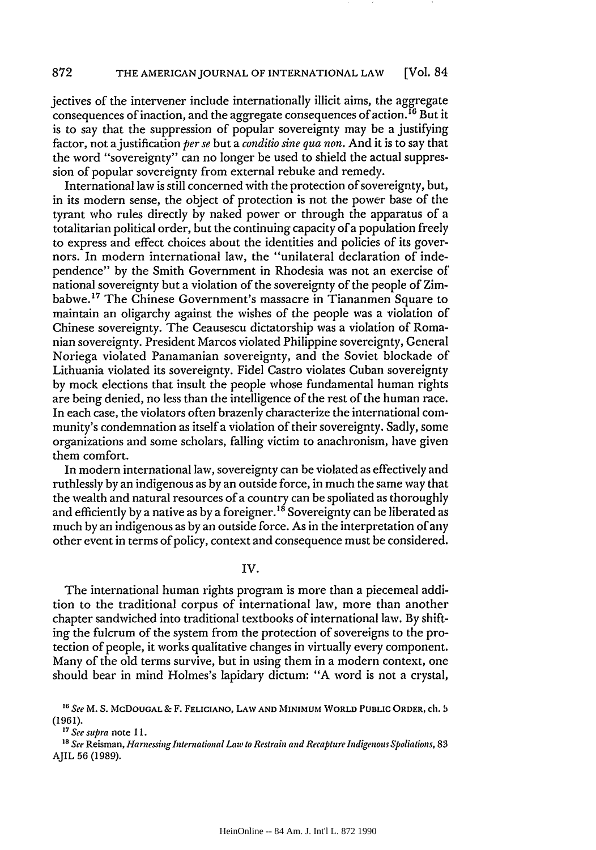jectives of the intervener include internationally illicit aims, the aggregate consequences of inaction, and the aggregate consequences of action.16 But it is to say that the suppression of popular sovereignty may be a justifying factor, not ajustification *per se* but a *conditio sine qua non.* And it is to say that the word "sovereignty" can no longer be used to shield the actual suppression of popular sovereignty from external rebuke and remedy.

International law is still concerned with the protection of sovereignty, but, in its modern sense, the object of protection is not the power base of the tyrant who rules directly by naked power or through the apparatus of a totalitarian political order, but the continuing capacity of a population freely to express and effect choices about the identities and policies of its governors. In modern international law, the "unilateral declaration of independence" by the Smith Government in Rhodesia was not an exercise of national sovereignty but a violation of the sovereignty of the people of Zimbabwe.<sup>17</sup> The Chinese Government's massacre in Tiananmen Square to maintain an oligarchy against the wishes of the people was a violation of Chinese sovereignty. The Ceausescu dictatorship was a violation of Romanian sovereignty. President Marcos violated Philippine sovereignty, General Noriega violated Panamanian sovereignty, and the Soviet blockade of Lithuania violated its sovereignty. Fidel Castro violates Cuban sovereignty by mock elections that insult the people whose fundamental human rights are being denied, no less than the intelligence of the rest of the human race. In each case, the violators often brazenly characterize the international community's condemnation as itself a violation of their sovereignty. Sadly, some organizations and some scholars, falling victim to anachronism, have given them comfort.

In modern international law, sovereignty can be violated as effectively and ruthlessly by an indigenous as by an outside force, in much the same way that the wealth and natural resources of a country can be spoliated as thoroughly and efficiently by a native as **by** a foreigner. <sup>I</sup> " Sovereignty can be liberated as much by an indigenous as by an outside force. As in the interpretation of any other event in terms of policy, context and consequence must be considered.

**IV.**

The international human rights program is more than a piecemeal addition to the traditional corpus of international law, more than another chapter sandwiched into traditional textbooks of international law. By shifting the fulcrum of the system from the protection of sovereigns to the protection of people, it works qualitative changes in virtually every component. Many of the old terms survive, but in using them in a modern context, one should bear in mind Holmes's lapidary dictum: "A word is not a crystal,

**17** *See supra* note **11.**

<sup>18</sup> See Reisman, *Harnessing International Law to Restrain and Recapture Indigenous Spoliations, 83* AJIL 56 **(1989).**

**<sup>16</sup>**See M. **S.** McDOUGAL **& F. FELICIANO,** LAW **AND MINIMUM WORLD PUBLIC ORDER, Cli. (1961).**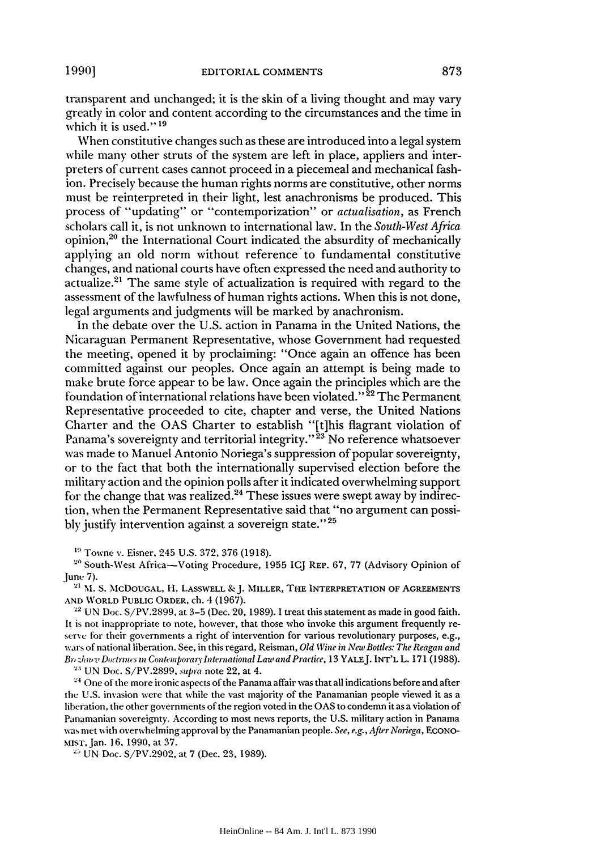transparent and unchanged; it is the skin of a living thought and may vary greatly in color and content according to the circumstances and the time in which it is used." **19**

When constitutive changes such as these are introduced into a legal system while many other struts of the system are left in place, appliers and interpreters of current cases cannot proceed in a piecemeal and mechanical fashion. Precisely because the human rights norms are constitutive, other norms must be reinterpreted in their light, lest anachronisms be produced. This process of "updating" or "contemporization" or *actualisation,* as French scholars call it, is not unknown to international law. In the *South-West Africa* opinion,"° the International Court indicated the absurdity of mechanically applying an old norm without reference'to fundamental constitutive changes, and national courts have often expressed the need and authority to actualize. 2' The same style of actualization is required with regard to the assessment of the lawfulness of human rights actions. When this is not done, legal arguments and judgments will be marked by anachronism.

In the debate over the U.S. action in Panama in the United Nations, the Nicaraguan Permanent Representative, whose Government had requested the meeting, opened it by proclaiming: "Once again an offence has been committed against our peoples. Once again an attempt is being made to make brute force appear to be law. Once again the principles which are the foundation of international relations have been violated." $2^2$  The Permanent Representative proceeded to cite, chapter and verse, the United Nations Charter and the OAS Charter to establish "[t]his flagrant violation of Panama's sovereignty and territorial integrity."<sup>23</sup> No reference whatsoever was made to Manuel Antonio Noriega's suppression of popular sovereignty, or to the fact that both the internationally supervised election before the military action and the opinion polls after it indicated overwhelming support for the change that was realized.<sup>24</sup> These issues were swept away by indirection, when the Permanent Representative said that "no argument can possibly justify intervention against a sovereign state."<sup>25</sup>

**'9** Towne v. Eisner, 245 U.S. 372, 376 (1918).

<sup>20</sup> South-West Africa-Voting Procedure, 1955 ICJ REP. 67, 77 (Advisory Opinion of June 7).

**M' M. S.** McDOUGAL, H. LASSWELL **&** J. MILLER, THE INTERPRETATION OF AGREEMENTS **AND** WORLD PUBLIC ORDER, ch. 4 (1967).

**<sup>22</sup>**UN Doc. S/PV.2899, at **3-5** (Dec. 20, 1989). **I** treat this statement as made in good faith. It is not inappropriate to note, however, that those who invoke this argument frequently reserve for their governments a right of intervention for various revolutionary purposes, e.g., ways of national liberation. See, in this regard, Reisman, *Old Wine in New Bottles: The Reagan and* Br, *zlinev Doctrines in Contemporary International Law and Practice*, 13 YALE J. INT'L L. 171 (1988).

<sup>23</sup> UN Doc. S/PV.2899, supra note 22, at 4.

 $24$  One of the more ironic aspects of the Panama affair was that all indications before and after the U.S. invasion were that while the vast majority of the Panamanian people viewed it as a liberation, the other governments of the region voted in the OAS to condemn it as a violation of Panamanian sovereignty. According to most news reports, the U.S. military action in Panama was met with overwhelming approval by the Panamanian people. *See, e.g., After Noriega,* **ECONO-MIST,** Jan. 16, 1990, at **37.**

<sup>25</sup> UN Doc. S/PV.2902, at 7 (Dec. 23, 1989).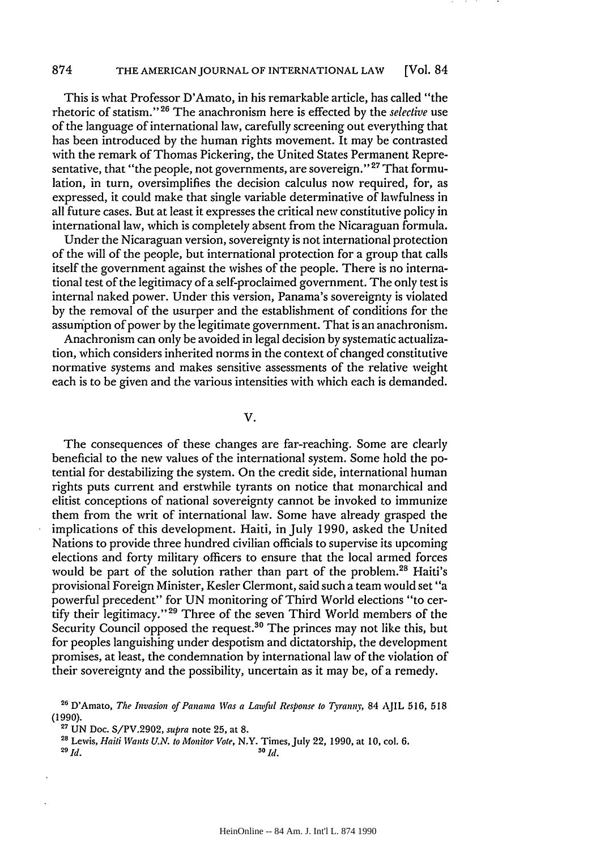This is what Professor D'Amato, in his remarkable article, has called "the rhetoric of statism." 26 The anachronism here is effected by the *selective* use of the language of international law, carefully screening out everything that has been introduced by the human rights movement. It may be contrasted with the remark of Thomas Pickering, the United States Permanent Representative, that "the people, not governments, are sovereign."<sup>27</sup> That formulation, in turn, oversimplifies the decision calculus now required, for, as expressed, it could make that single variable determinative of lawfulness in all future cases. But at least it expresses the critical new constitutive policy in international law, which is completely absent from the Nicaraguan formula.

Under the Nicaraguan version, sovereignty is not international protection of the will of the people, but international protection for a group that calls itself the government against the wishes of the people. There is no international test of the legitimacy of a self-proclaimed government. The only test is internal naked power. Under this version, Panama's sovereignty is violated by the removal of the usurper and the establishment of conditions for the assumption of power by the legitimate government. That is an anachronism.

Anachronism can only be avoided in legal decision by systematic actualization, which considers inherited norms in the context of changed constitutive normative systems and makes sensitive assessments of the relative weight each is to be given and the various intensities with which each is demanded.

**V.**

The consequences of these changes are far-reaching. Some are clearly beneficial to the new values of the international system. Some hold the potential for destabilizing the system. On the credit side, international human rights puts current and erstwhile tyrants on notice that monarchical and elitist conceptions of national sovereignty cannot be invoked to immunize them from the writ of international law. Some have already grasped the implications of this development. Haiti, in July 1990, asked the United Nations to provide three hundred civilian officials to supervise its upcoming elections and forty military officers to ensure that the local armed forces would be part of the solution rather than part of the problem.<sup>28</sup> Haiti's provisional Foreign Minister, Kesler Clermont, said such a team would set "a powerful precedent" for UN monitoring of Third World elections "to certify their legitimacy." 29 Three of the seven Third World members of the Security Council opposed the request.<sup>30</sup> The princes may not like this, but for peoples languishing under despotism and dictatorship, the development promises, at least, the condemnation by international law of the violation of their sovereignty and the possibility, uncertain as it may be, of a remedy.

**<sup>28</sup>**Lewis, *Haiti Wants U.N. to Monitor Vote,* N.Y. Times, July 22, **1990,** at **10,** col. **6.** *<sup>2</sup> 9 Id. 3*

**<sup>26</sup>**D'Amato, *The Invasion of Panama Was a Lauful Response to Tyranny,* 84 **AJIL 516, 518 (1990).**

**<sup>27</sup>UN** Doc. S/PV.2902, *supra* note **25,** at **8.**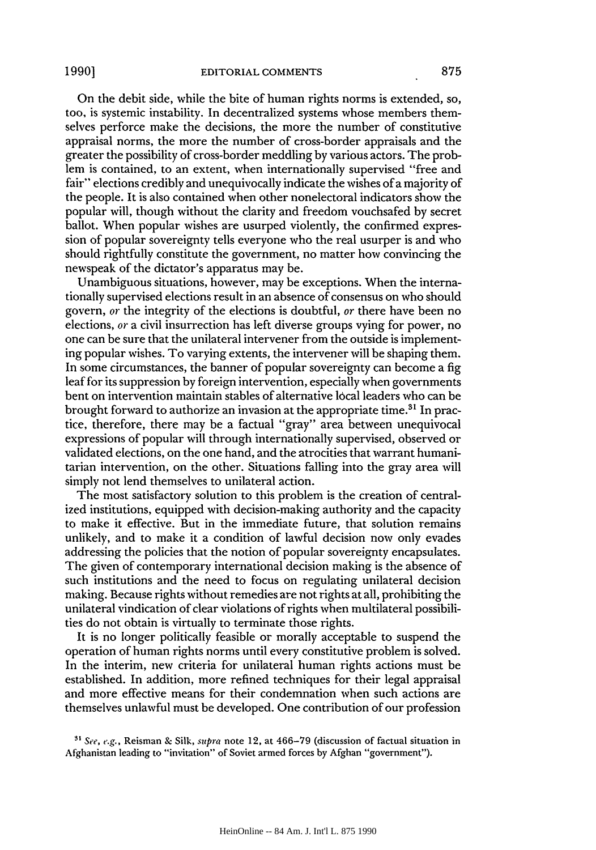On the debit side, while the bite of human rights norms is extended, so, too, is systemic instability. In decentralized systems whose members themselves perforce make the decisions, the more the number of constitutive appraisal norms, the more the number of cross-border appraisals and the greater the possibility of cross-border meddling by various actors. The problem is contained, to an extent, when internationally supervised "free and fair" elections credibly and unequivocally indicate the wishes of a majority of the people. It is also contained when other nonelectoral indicators show the popular will, though without the clarity and freedom vouchsafed by secret ballot. When popular wishes are usurped violently, the confirmed expression of popular sovereignty tells everyone who the real usurper is and who should rightfully constitute the government, no matter how convincing the newspeak of the dictator's apparatus may be.

Unambiguous situations, however, may be exceptions. When the internationally supervised elections result in an absence of consensus on who should govern, or the integrity of the elections is doubtful, or there have been no elections, or a civil insurrection has left diverse groups vying for power, no one can be sure that the unilateral intervener from the outside is implementing popular wishes. To varying extents, the intervener will be shaping them. In some circumstances, the banner of popular sovereignty can become a fig leaf for its suppression by foreign intervention, especially when governments bent on intervention maintain stables of alternative local leaders who can be brought forward to authorize an invasion at the appropriate time.<sup>31</sup> In practice, therefore, there may be a factual "gray" area between unequivocal expressions of popular will through internationally supervised, observed or validated elections, on the one hand, and the atrocities that warrant humanitarian intervention, on the other. Situations falling into the gray area will simply not lend themselves to unilateral action.

The most satisfactory solution to this problem is the creation of centralized institutions, equipped with decision-making authority and the capacity to make it effective. But in the immediate future, that solution remains unlikely, and to make it a condition of lawful decision now only evades addressing the policies that the notion of popular sovereignty encapsulates. The given of contemporary international decision making is the absence of such institutions and the need to focus on regulating unilateral decision making. Because rights without remedies are not rights at all, prohibiting the unilateral vindication of clear violations of rights when multilateral possibilities do not obtain is virtually to terminate those rights.

It is no longer politically feasible or morally acceptable to suspend the operation of human rights norms until every constitutive problem is solved. In the interim, new criteria for unilateral human rights actions must be established. In addition, more refined techniques for their legal appraisal and more effective means for their condemnation when such actions are themselves unlawful must be developed. One contribution of our profession

<sup>&</sup>lt;sup>31</sup> See, e.g., Reisman & Silk, supra note 12, at  $466-79$  (discussion of factual situation in Afghanistan leading to "invitation" of Soviet armed forces by Afghan "government").